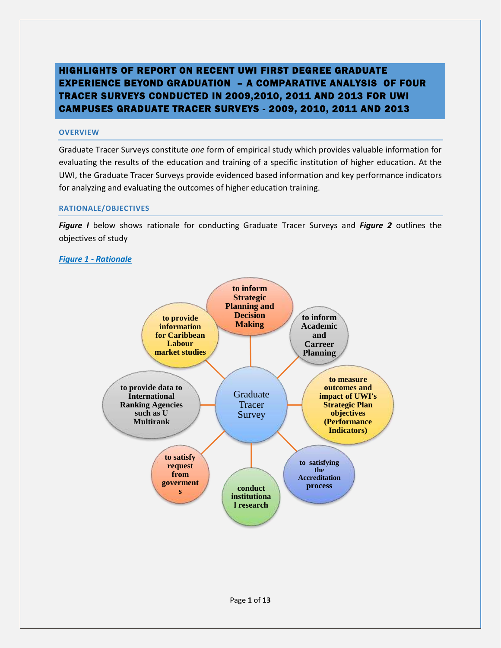# HIGHLIGHTS OF REPORT ON RECENT UWI FIRST DEGREE GRADUATE EXPERIENCE BEYOND GRADUATION – A COMPARATIVE ANALYSIS OF FOUR TRACER SURVEYS CONDUCTED IN 2009,2010, 2011 AND 2013 FOR UWI CAMPUSES GRADUATE TRACER SURVEYS - 2009, 2010, 2011 AND 2013

# **OVERVIEW**

Graduate Tracer Surveys constitute *one* form of empirical study which provides valuable information for evaluating the results of the education and training of a specific institution of higher education. At the UWI, the Graduate Tracer Surveys provide evidenced based information and key performance indicators for analyzing and evaluating the outcomes of higher education training.

### **RATIONALE/OBJECTIVES**

*Figure I* below shows rationale for conducting Graduate Tracer Surveys and *Figure 2* outlines the objectives of study

# *Figure 1 - Rationale*

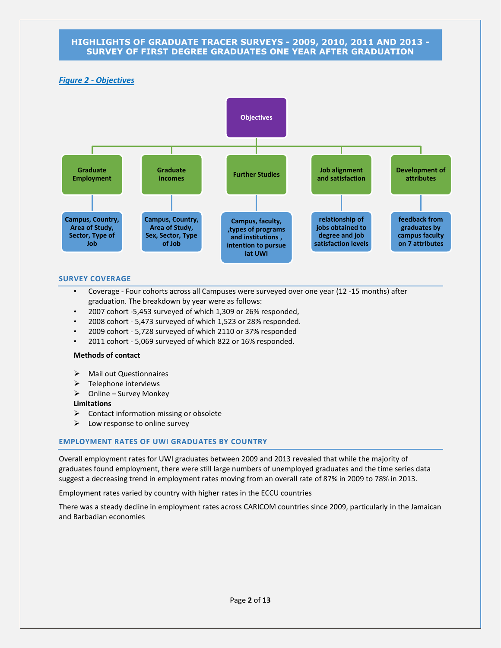# *Figure 2 - Objectives*



#### **SURVEY COVERAGE**

- Coverage Four cohorts across all Campuses were surveyed over one year (12 -15 months) after graduation. The breakdown by year were as follows:
- 2007 cohort -5,453 surveyed of which 1,309 or 26% responded,
- 2008 cohort 5,473 surveyed of which 1,523 or 28% responded.
- 2009 cohort 5,728 surveyed of which 2110 or 37% responded
- 2011 cohort 5,069 surveyed of which 822 or 16% responded.

#### **Methods of contact**

- > Mail out Questionnaires
- $\triangleright$  Telephone interviews
- $\triangleright$  Online Survey Monkey

#### **Limitations**

- $\triangleright$  Contact information missing or obsolete
- $\triangleright$  Low response to online survey

### **EMPLOYMENT RATES OF UWI GRADUATES BY COUNTRY**

Overall employment rates for UWI graduates between 2009 and 2013 revealed that while the majority of graduates found employment, there were still large numbers of unemployed graduates and the time series data suggest a decreasing trend in employment rates moving from an overall rate of 87% in 2009 to 78% in 2013.

Employment rates varied by country with higher rates in the ECCU countries

There was a steady decline in employment rates across CARICOM countries since 2009, particularly in the Jamaican and Barbadian economies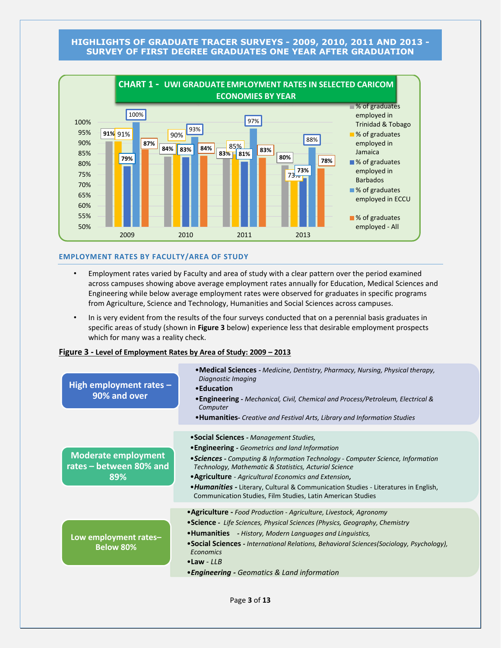

#### **EMPLOYMENT RATES BY FACULTY/AREA OF STUDY**

- Employment rates varied by Faculty and area of study with a clear pattern over the period examined across campuses showing above average employment rates annually for Education, Medical Sciences and Engineering while below average employment rates were observed for graduates in specific programs from Agriculture, Science and Technology, Humanities and Social Sciences across campuses.
- In is very evident from the results of the four surveys conducted that on a perennial basis graduates in specific areas of study (shown in **Figure 3** below) experience less that desirable employment prospects which for many was a reality check.

#### **Figure 3 - Level of Employment Rates by Area of Study: 2009 – 2013**

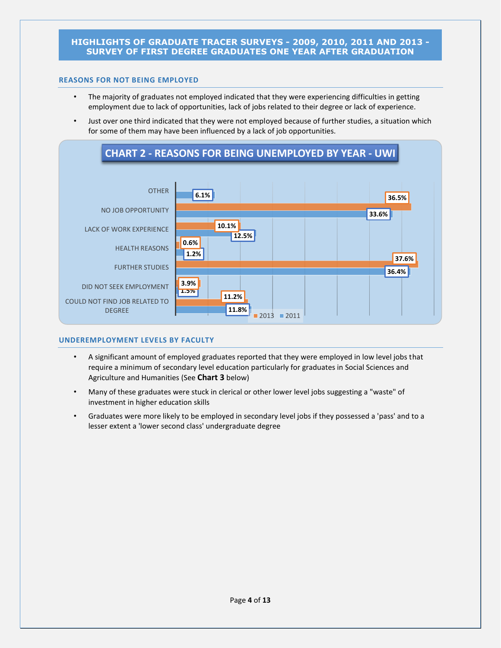### **REASONS FOR NOT BEING EMPLOYED**

- The majority of graduates not employed indicated that they were experiencing difficulties in getting employment due to lack of opportunities, lack of jobs related to their degree or lack of experience.
- Just over one third indicated that they were not employed because of further studies, a situation which for some of them may have been influenced by a lack of job opportunities.



### **UNDEREMPLOYMENT LEVELS BY FACULTY**

- A significant amount of employed graduates reported that they were employed in low level jobs that require a minimum of secondary level education particularly for graduates in Social Sciences and Agriculture and Humanities (See **Chart 3** below)
- Many of these graduates were stuck in clerical or other lower level jobs suggesting a "waste" of investment in higher education skills
- Graduates were more likely to be employed in secondary level jobs if they possessed a 'pass' and to a lesser extent a 'lower second class' undergraduate degree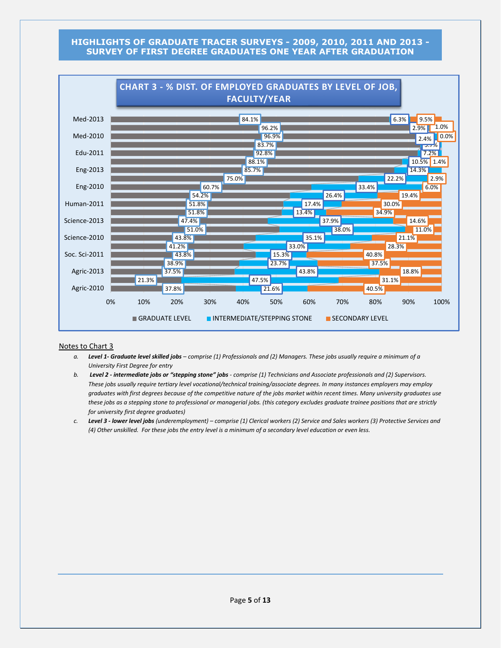

#### Notes to Chart 3

- *a. Level 1- Graduate level skilled jobs – comprise (1) Professionals and (2) Managers. These jobs usually require a minimum of a University First Degree for entry*
- *b. Level 2 - intermediate jobs or "stepping stone" jobs - comprise (1) Technicians and Associate professionals and (2) Supervisors. These jobs usually require tertiary level vocational/technical training/associate degrees. In many instances employers may employ graduates with first degrees because of the competitive nature of the jobs market within recent times. Many university graduates use these jobs as a stepping stone to professional or managerial jobs. (this category excludes graduate trainee positions that are strictly for university first degree graduates)*
- *c. Level 3 - lower level jobs (underemployment) – comprise (1) Clerical workers (2) Service and Sales workers (3) Protective Services and (4) Other unskilled. For these jobs the entry level is a minimum of a secondary level education or even less.*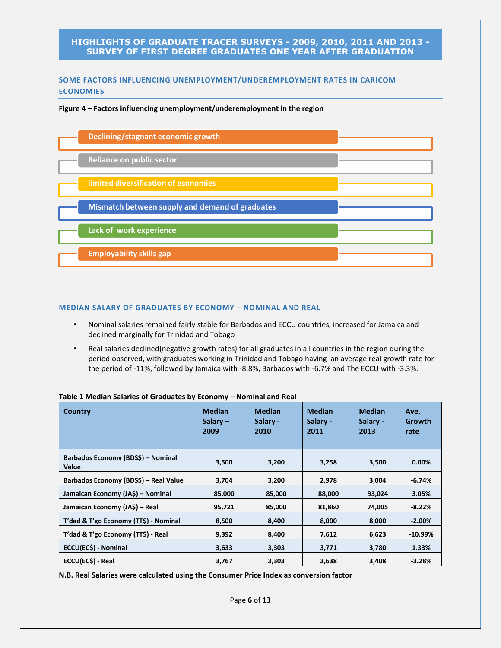# **SOME FACTORS INFLUENCING UNEMPLOYMENT/UNDEREMPLOYMENT RATES IN CARICOM ECONOMIES**

#### **Figure 4 – Factors influencing unemployment/underemployment in the region**



#### **MEDIAN SALARY OF GRADUATES BY ECONOMY – NOMINAL AND REAL**

- Nominal salaries remained fairly stable for Barbados and ECCU countries, increased for Jamaica and declined marginally for Trinidad and Tobago
- Real salaries declined(negative growth rates) for all graduates in all countries in the region during the period observed, with graduates working in Trinidad and Tobago having an average real growth rate for the period of -11%, followed by Jamaica with -8.8%, Barbados with -6.7% and The ECCU with -3.3%.

| Country                                     | <b>Median</b><br>Salary $-$<br>2009 | <b>Median</b><br>Salary -<br>2010 | <b>Median</b><br>Salary -<br>2011 | <b>Median</b><br>Salary -<br>2013 | Ave.<br>Growth<br>rate |
|---------------------------------------------|-------------------------------------|-----------------------------------|-----------------------------------|-----------------------------------|------------------------|
| Barbados Economy (BDS\$) - Nominal<br>Value | 3,500                               | 3,200                             | 3,258                             | 3,500                             | $0.00\%$               |
| Barbados Economy (BDS\$) – Real Value       | 3,704                               | 3,200                             | 2,978                             | 3,004                             | $-6.74%$               |
| Jamaican Economy (JA\$) - Nominal           | 85,000                              | 85,000                            | 88,000                            | 93,024                            | 3.05%                  |
| Jamaican Economy (JA\$) – Real              | 95,721                              | 85,000                            | 81,860                            | 74,005                            | $-8.22%$               |
| T'dad & T'go Economy (TT\$) - Nominal       | 8,500                               | 8,000<br>8,400                    |                                   | 8,000                             | $-2.00%$               |
| T'dad & T'go Economy (TT\$) - Real          | 9,392                               | 8,400                             | 7,612                             | 6,623                             | $-10.99\%$             |
| ECCU(EC\$) - Nominal                        | 3,633                               | 3,303                             | 3,771                             | 3,780                             | 1.33%                  |
| ECCU(EC\$) - Real                           | 3,767                               | 3,303                             | 3,638                             | 3,408                             | $-3.28%$               |

#### **Table 1 Median Salaries of Graduates by Economy – Nominal and Real**

**N.B. Real Salaries were calculated using the Consumer Price Index as conversion factor**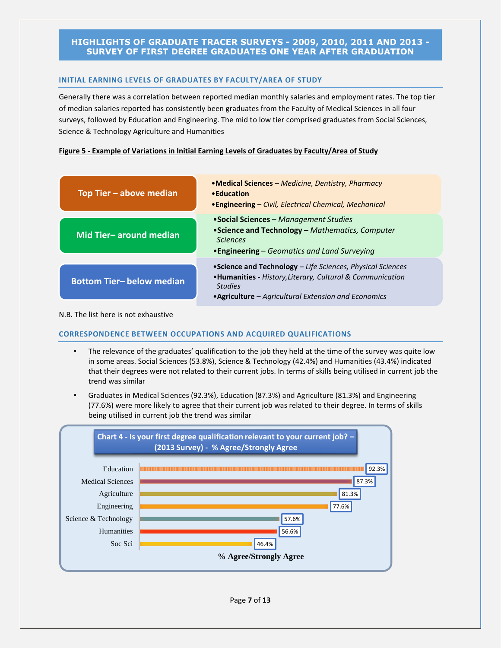### **INITIAL EARNING LEVELS OF GRADUATES BY FACULTY/AREA OF STUDY**

Generally there was a correlation between reported median monthly salaries and employment rates. The top tier of median salaries reported has consistently been graduates from the Faculty of Medical Sciences in all four surveys, followed by Education and Engineering. The mid to low tier comprised graduates from Social Sciences, Science & Technology Agriculture and Humanities

### **Figure 5 - Example of Variations in Initial Earning Levels of Graduates by Faculty/Area of Study**

| Top Tier - above median         | • Medical Sciences – Medicine, Dentistry, Pharmacy<br>• Education<br>• Engineering – Civil, Electrical Chemical, Mechanical                                                                         |
|---------------------------------|-----------------------------------------------------------------------------------------------------------------------------------------------------------------------------------------------------|
| Mid Tier-around median          | • Social Sciences – Management Studies<br>• Science and Technology - Mathematics, Computer<br><b>Sciences</b><br>• Engineering – Geomatics and Land Surveying                                       |
| <b>Bottom Tier-below median</b> | • Science and Technology – Life Sciences, Physical Sciences<br>• Humanities - History, Literary, Cultural & Communication<br><b>Studies</b><br>• Agriculture – Agricultural Extension and Economics |

#### N.B. The list here is not exhaustive

### **CORRESPONDENCE BETWEEN OCCUPATIONS AND ACQUIRED QUALIFICATIONS**

- The relevance of the graduates' qualification to the job they held at the time of the survey was quite low in some areas. Social Sciences (53.8%), Science & Technology (42.4%) and Humanities (43.4%) indicated that their degrees were not related to their current jobs. In terms of skills being utilised in current job the trend was similar
- Graduates in Medical Sciences (92.3%), Education (87.3%) and Agriculture (81.3%) and Engineering (77.6%) were more likely to agree that their current job was related to their degree. In terms of skills being utilised in current job the trend was similar

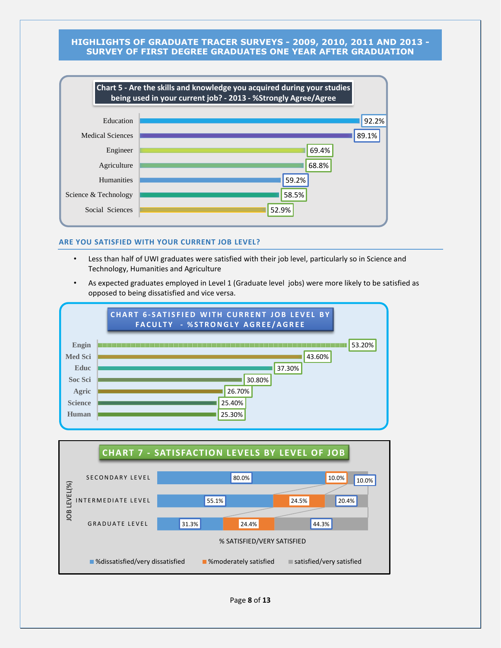

#### **ARE YOU SATISFIED WITH YOUR CURRENT JOB LEVEL?**

- Less than half of UWI graduates were satisfied with their job level, particularly so in Science and Technology, Humanities and Agriculture
- As expected graduates employed in Level 1 (Graduate level jobs) were more likely to be satisfied as opposed to being dissatisfied and vice versa.





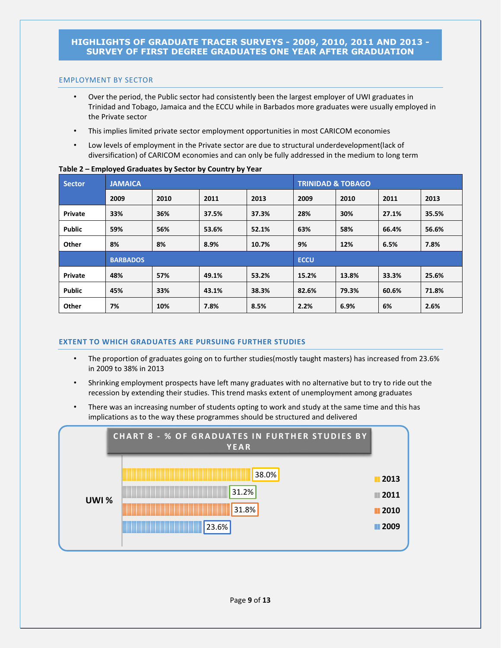### EMPLOYMENT BY SECTOR

- Over the period, the Public sector had consistently been the largest employer of UWI graduates in Trinidad and Tobago, Jamaica and the ECCU while in Barbados more graduates were usually employed in the Private sector
- This implies limited private sector employment opportunities in most CARICOM economies
- Low levels of employment in the Private sector are due to structural underdevelopment(lack of diversification) of CARICOM economies and can only be fully addressed in the medium to long term

| $\sim$ , $\sim$ , $\sim$ , $\sim$ , $\sim$ , $\sim$ , $\sim$ , $\sim$ , $\sim$ , $\sim$ , $\sim$ , $\sim$ , $\sim$ , $\sim$ , $\sim$ , $\sim$ , $\sim$ , $\sim$ , $\sim$ , $\sim$ , $\sim$ , $\sim$ , $\sim$ , $\sim$ , $\sim$ , $\sim$ , $\sim$ , $\sim$ , $\sim$ , $\sim$ , $\sim$ , $\sim$ |                 |      |       |                              |             |       |       |       |  |  |  |
|-----------------------------------------------------------------------------------------------------------------------------------------------------------------------------------------------------------------------------------------------------------------------------------------------|-----------------|------|-------|------------------------------|-------------|-------|-------|-------|--|--|--|
| <b>Sector</b>                                                                                                                                                                                                                                                                                 | <b>JAMAICA</b>  |      |       | <b>TRINIDAD &amp; TOBAGO</b> |             |       |       |       |  |  |  |
|                                                                                                                                                                                                                                                                                               | 2009            | 2010 | 2011  | 2013                         | 2009        | 2010  | 2011  | 2013  |  |  |  |
| Private                                                                                                                                                                                                                                                                                       | 33%             | 36%  | 37.5% | 37.3%                        | 28%         | 30%   | 27.1% | 35.5% |  |  |  |
| <b>Public</b>                                                                                                                                                                                                                                                                                 | 59%             | 56%  | 53.6% | 52.1%                        | 63%         | 58%   | 66.4% | 56.6% |  |  |  |
| Other                                                                                                                                                                                                                                                                                         | 8%              | 8%   | 8.9%  | 10.7%                        | 9%          | 12%   | 6.5%  | 7.8%  |  |  |  |
|                                                                                                                                                                                                                                                                                               | <b>BARBADOS</b> |      |       |                              | <b>ECCU</b> |       |       |       |  |  |  |
| Private                                                                                                                                                                                                                                                                                       | 48%             | 57%  | 49.1% | 53.2%                        | 15.2%       | 13.8% | 33.3% | 25.6% |  |  |  |
| <b>Public</b>                                                                                                                                                                                                                                                                                 | 45%             | 33%  | 43.1% | 38.3%                        | 82.6%       | 79.3% | 60.6% | 71.8% |  |  |  |
| Other                                                                                                                                                                                                                                                                                         | 7%              | 10%  | 7.8%  | 8.5%                         | 2.2%        | 6.9%  | 6%    | 2.6%  |  |  |  |

#### **Table 2 – Employed Graduates by Sector by Country by Year**

# **EXTENT TO WHICH GRADUATES ARE PURSUING FURTHER STUDIES**

- The proportion of graduates going on to further studies(mostly taught masters) has increased from 23.6% in 2009 to 38% in 2013
- Shrinking employment prospects have left many graduates with no alternative but to try to ride out the recession by extending their studies. This trend masks extent of unemployment among graduates
- There was an increasing number of students opting to work and study at the same time and this has implications as to the way these programmes should be structured and delivered

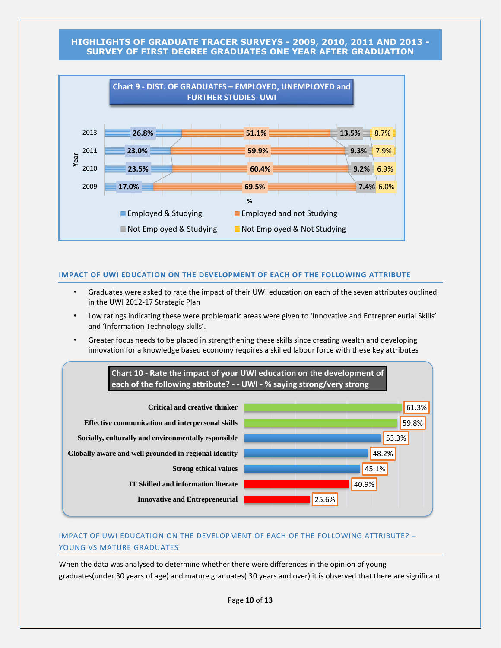

#### **IMPACT OF UWI EDUCATION ON THE DEVELOPMENT OF EACH OF THE FOLLOWING ATTRIBUTE**

- Graduates were asked to rate the impact of their UWI education on each of the seven attributes outlined in the UWI 2012-17 Strategic Plan
- Low ratings indicating these were problematic areas were given to 'Innovative and Entrepreneurial Skills' and 'Information Technology skills'.
- Greater focus needs to be placed in strengthening these skills since creating wealth and developing innovation for a knowledge based economy requires a skilled labour force with these key attributes



# IMPACT OF UWI EDUCATION ON THE DEVELOPMENT OF EACH OF THE FOLLOWING ATTRIBUTE? – YOUNG VS MATURE GRADUATES

When the data was analysed to determine whether there were differences in the opinion of young graduates(under 30 years of age) and mature graduates( 30 years and over) it is observed that there are significant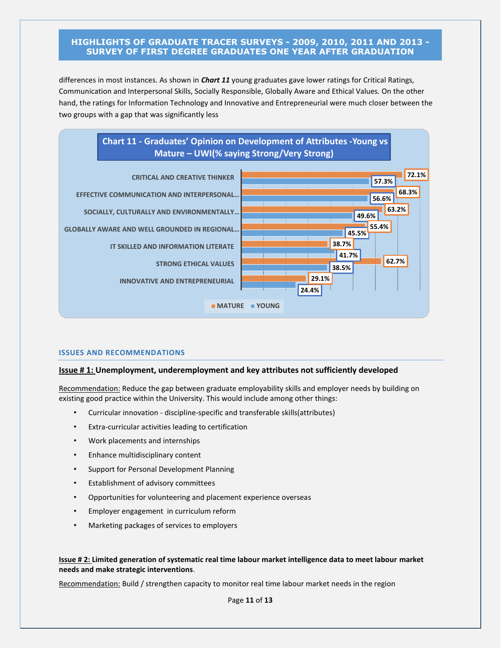differences in most instances. As shown in *Chart 11* young graduates gave lower ratings for Critical Ratings, Communication and Interpersonal Skills, Socially Responsible, Globally Aware and Ethical Values. On the other hand, the ratings for Information Technology and Innovative and Entrepreneurial were much closer between the two groups with a gap that was significantly less



### **ISSUES AND RECOMMENDATIONS**

#### **Issue # 1: Unemployment, underemployment and key attributes not sufficiently developed**

Recommendation: Reduce the gap between graduate employability skills and employer needs by building on existing good practice within the University. This would include among other things:

- Curricular innovation discipline-specific and transferable skills(attributes)
- Extra-curricular activities leading to certification
- Work placements and internships
- Enhance multidisciplinary content
- Support for Personal Development Planning
- Establishment of advisory committees
- Opportunities for volunteering and placement experience overseas
- Employer engagement in curriculum reform
- Marketing packages of services to employers

### **Issue # 2: Limited generation of systematic real time labour market intelligence data to meet labour market needs and make strategic interventions**.

Recommendation: Build / strengthen capacity to monitor real time labour market needs in the region

Page **11** of **13**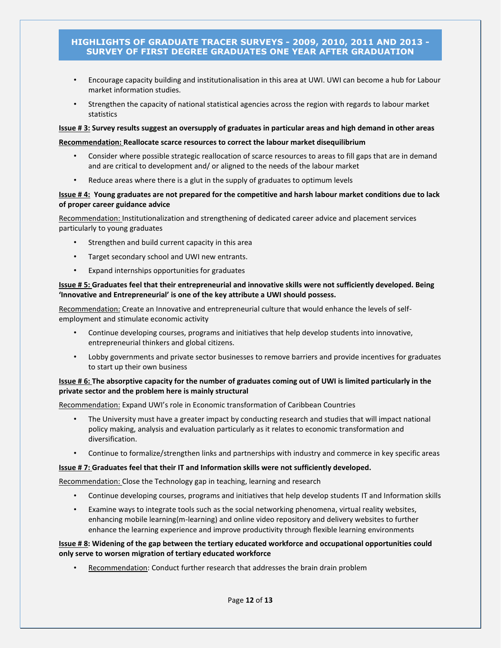- Encourage capacity building and institutionalisation in this area at UWI. UWI can become a hub for Labour market information studies.
- Strengthen the capacity of national statistical agencies across the region with regards to labour market statistics

#### **Issue # 3: Survey results suggest an oversupply of graduates in particular areas and high demand in other areas**

#### **Recommendation: Reallocate scarce resources to correct the labour market disequilibrium**

- Consider where possible strategic reallocation of scarce resources to areas to fill gaps that are in demand and are critical to development and/ or aligned to the needs of the labour market
- Reduce areas where there is a glut in the supply of graduates to optimum levels

#### **Issue # 4: Young graduates are not prepared for the competitive and harsh labour market conditions due to lack of proper career guidance advice**

Recommendation: Institutionalization and strengthening of dedicated career advice and placement services particularly to young graduates

- Strengthen and build current capacity in this area
- Target secondary school and UWI new entrants.
- Expand internships opportunities for graduates

#### **Issue # 5: Graduates feel that their entrepreneurial and innovative skills were not sufficiently developed. Being 'Innovative and Entrepreneurial' is one of the key attribute a UWI should possess.**

Recommendation: Create an Innovative and entrepreneurial culture that would enhance the levels of selfemployment and stimulate economic activity

- Continue developing courses, programs and initiatives that help develop students into innovative, entrepreneurial thinkers and global citizens.
- Lobby governments and private sector businesses to remove barriers and provide incentives for graduates to start up their own business

### **Issue # 6: The absorptive capacity for the number of graduates coming out of UWI is limited particularly in the private sector and the problem here is mainly structural**

Recommendation: Expand UWI's role in Economic transformation of Caribbean Countries

- The University must have a greater impact by conducting research and studies that will impact national policy making, analysis and evaluation particularly as it relates to economic transformation and diversification.
- Continue to formalize/strengthen links and partnerships with industry and commerce in key specific areas

#### **Issue # 7: Graduates feel that their IT and Information skills were not sufficiently developed.**

Recommendation: Close the Technology gap in teaching, learning and research

- Continue developing courses, programs and initiatives that help develop students IT and Information skills
- Examine ways to integrate tools such as the social networking phenomena, virtual reality websites, enhancing mobile learning(m-learning) and online video repository and delivery websites to further enhance the learning experience and improve productivity through flexible learning environments

### **Issue # 8: Widening of the gap between the tertiary educated workforce and occupational opportunities could only serve to worsen migration of tertiary educated workforce**

• Recommendation: Conduct further research that addresses the brain drain problem